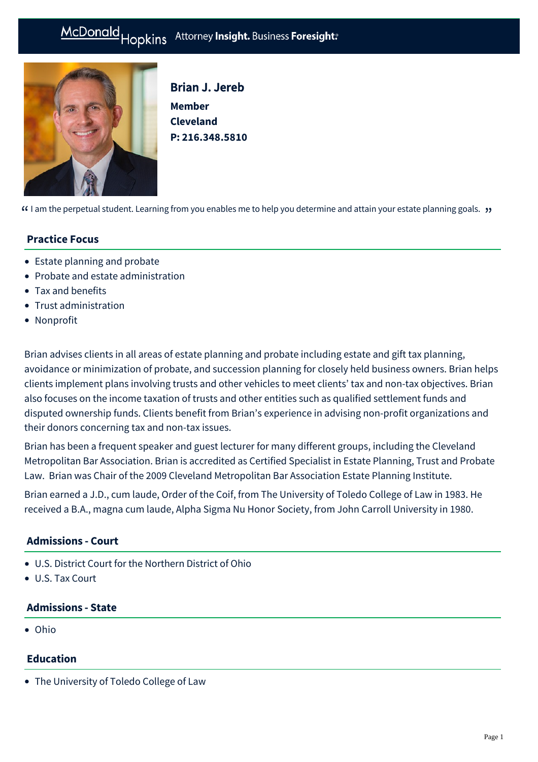# McDonald Hopkins Attorney Insight. Business Foresight:



Brian J. Jereb **Member Cleveland P: [216.348.5810](tel:216.348.5810)**

 $\lceil$  am the perpetual student. Learning from you enables me to help you determine and attain your estate planning goals.  $\cdot$ 

## **Practice Focus**

- [Estate planning and probate](https://mcdonaldhopkins.com/Expertise/Estate-planning-and-probate)
- [Probate and estate administration](https://mcdonaldhopkins.com/Expertise/Estate-planning-and-probate/Probate-and-estate-administration)
- [Tax and benefits](https://mcdonaldhopkins.com/Expertise/Tax-and-benefits)
- [Trust administration](https://mcdonaldhopkins.com/Expertise/Estate-planning-and-probate/Trust-administration)
- [Nonprofit](https://mcdonaldhopkins.com/Expertise/Industries/Nonprofit)

Brian advises clients in all areas of estate planning and probate including estate and gift tax planning, avoidance or minimization of probate, and succession planning for closely held business owners. Brian helps clients implement plans involving trusts and other vehicles to meet clients' tax and non-tax objectives. Brian also focuses on the income taxation of trusts and other entities such as qualified settlement funds and disputed ownership funds. Clients benefit from Brian's experience in advising non-profit organizations and their donors concerning tax and non-tax issues.

Brian has been a frequent speaker and guest lecturer for many different groups, including the Cleveland Metropolitan Bar Association. Brian is accredited as Certified Specialist in Estate Planning, Trust and Probate Law. Brian was Chair of the 2009 Cleveland Metropolitan Bar Association Estate Planning Institute.

Brian earned a J.D., cum laude, Order of the Coif, from The University of Toledo College of Law in 1983. He received a B.A., magna cum laude, Alpha Sigma Nu Honor Society, from John Carroll University in 1980.

# **Admissions - Court**

- U.S. District Court for the Northern District of Ohio
- U.S. Tax Court

#### **Admissions - State**

Ohio

# **Education**

The University of Toledo College of Law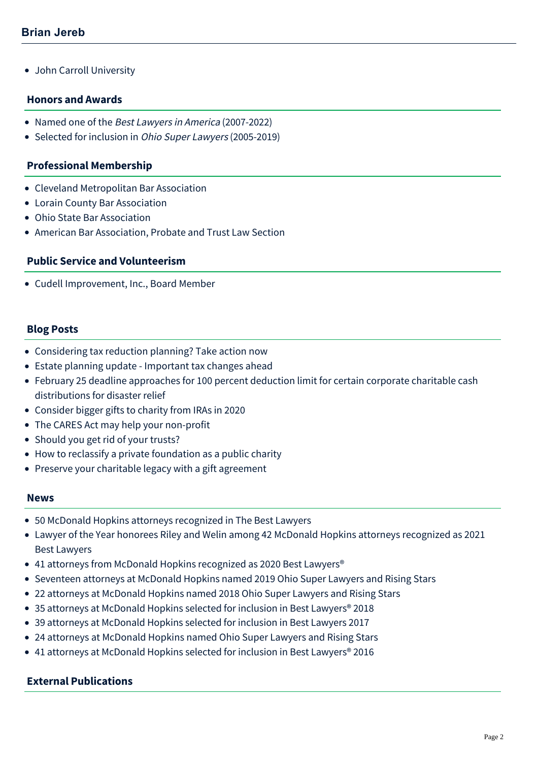• John Carroll University

#### **Honors and Awards**

- Named one of the Best Lawyers in America (2007-2022)
- Selected for inclusion in Ohio Super Lawyers (2005-2019)

#### **Professional Membership**

- Cleveland Metropolitan Bar Association
- Lorain County Bar Association
- Ohio State Bar Association
- American Bar Association, Probate and Trust Law Section

#### **Public Service and Volunteerism**

Cudell Improvement, Inc., Board Member

#### **Blog Posts**

- [Considering tax reduction planning? Take action now](https://mcdonaldhopkins.com/Insights/September-2021/Considering-tax-reduction-planning-Take-action-now)
- [Estate planning update Important tax changes ahead](https://mcdonaldhopkins.com/Insights/April-2021/Estate-planning-update-Important-tax-changes-ahead)
- [February 25 deadline approaches for 100 percent deduction limit for certain corporate charitable cash](https://mcdonaldhopkins.com/Insights/February-2021/February-25-deadline-approaches-for-100-percent-de) distributions for disaster relief
- [Consider bigger gifts to charity from IRAs in 2020](https://mcdonaldhopkins.com/Insights/May-2020/Consider-bigger-gifts-to-charity-from-IRAs-in-2020)
- [The CARES Act may help your non-profit](https://mcdonaldhopkins.com/Insights/March-2020/The-CARES-Act-may-help-your-non-profit)
- [Should you get rid of your trusts?](https://mcdonaldhopkins.com/Insights/October-2019/Should-you-get-rid-of-your-trusts)
- [How to reclassify a private foundation as a public charity](https://mcdonaldhopkins.com/Insights/August-2019/How-to-reclassify-a-private-foundation-as-a-public)
- [Preserve your charitable legacy with a gift agreement](https://mcdonaldhopkins.com/Insights/November-2018/Preserve-your-charitable-legacy-with-a-gift-agreem)

#### **News**

- [50 McDonald Hopkins attorneys recognized in The Best Lawyers](https://mcdonaldhopkins.com/Insights/August-2021/50-McDonald-Hopkins-attorneys-recognized-in-The-Be)
- [Lawyer of the Year honorees Riley and Welin among 42 McDonald Hopkins attorneys recognized as 2021](https://mcdonaldhopkins.com/Insights/August-2020/Lawyer-of-the-Year-honorees-Riley-and-Welin-among) Best Lawyers
- 41 attorneys from McDonald Hopkins recognized as 2020 Best Lawyers<sup>®</sup>
- [Seventeen attorneys at McDonald Hopkins named 2019 Ohio Super Lawyers and Rising Stars](https://mcdonaldhopkins.com/Insights/December-2018/Seventeen-attorneys-at-McDonald-Hopkins-named-2019)
- [22 attorneys at McDonald Hopkins named 2018 Ohio Super Lawyers and Rising Stars](https://mcdonaldhopkins.com/Insights/December-2017/22-attorneys-at-McDonald-Hopkins-named-2018-Ohio-S)
- [35 attorneys at McDonald Hopkins selected for inclusion in Best Lawyers® 2018](https://mcdonaldhopkins.com/Insights/August-2017/35-attorneys-at-McDonald-Hopkins-selected-for-incl)
- [39 attorneys at McDonald Hopkins selected for inclusion in Best Lawyers 2017](https://mcdonaldhopkins.com/Insights/August-2016/39-attorneys-at-McDonald-Hopkins-selected-for-incl)
- [24 attorneys at McDonald Hopkins named Ohio Super Lawyers and Rising Stars](https://mcdonaldhopkins.com/Insights/December-2015/24-attorneys-at-McDonald-Hopkins-named-Ohio-Super)
- 41 attorneys at McDonald Hopkins selected for inclusion in Best Lawyers<sup>®</sup> 2016

#### **External Publications**